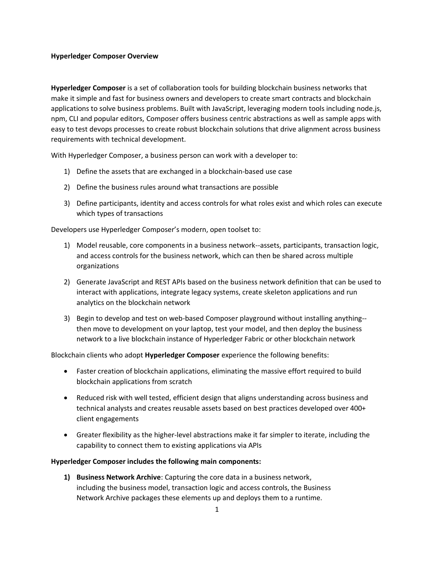## **Hyperledger Composer Overview**

**Hyperledger Composer** is a set of collaboration tools for building blockchain business networks that make it simple and fast for business owners and developers to create smart contracts and blockchain applications to solve business problems. Built with JavaScript, leveraging modern tools including node.js, npm, CLI and popular editors, Composer offers business centric abstractions as well as sample apps with easy to test devops processes to create robust blockchain solutions that drive alignment across business requirements with technical development.

With Hyperledger Composer, a business person can work with a developer to:

- 1) Define the assets that are exchanged in a blockchain-based use case
- 2) Define the business rules around what transactions are possible
- 3) Define participants, identity and access controls for what roles exist and which roles can execute which types of transactions

Developers use Hyperledger Composer's modern, open toolset to:

- 1) Model reusable, core components in a business network--assets, participants, transaction logic, and access controls for the business network, which can then be shared across multiple organizations
- 2) Generate JavaScript and REST APIs based on the business network definition that can be used to interact with applications, integrate legacy systems, create skeleton applications and run analytics on the blockchain network
- 3) Begin to develop and test on web-based Composer playground without installing anything- then move to development on your laptop, test your model, and then deploy the business network to a live blockchain instance of Hyperledger Fabric or other blockchain network

Blockchain clients who adopt **Hyperledger Composer** experience the following benefits:

- Faster creation of blockchain applications, eliminating the massive effort required to build blockchain applications from scratch
- Reduced risk with well tested, efficient design that aligns understanding across business and technical analysts and creates reusable assets based on best practices developed over 400+ client engagements
- Greater flexibility as the higher-level abstractions make it far simpler to iterate, including the capability to connect them to existing applications via APIs

## **Hyperledger Composer includes the following main components:**

**1) Business Network Archive**: Capturing the core data in a business network, including the business model, transaction logic and access controls, the Business Network Archive packages these elements up and deploys them to a runtime.